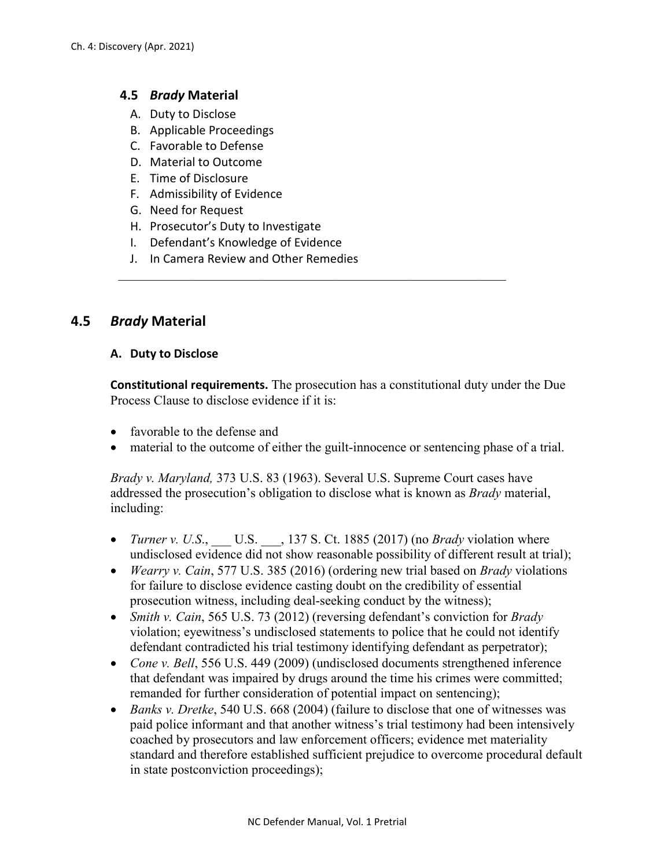### **4.5** *Brady* **Material**

- A. Duty to Disclose
- B. Applicable Proceedings
- C. Favorable to Defense
- D. Material to Outcome
- E. Time of Disclosure
- F. Admissibility of Evidence
- G. Need for Request
- H. Prosecutor's Duty to Investigate
- I. Defendant's Knowledge of Evidence
- J. In Camera Review and Other Remedies

# **4.5** *Brady* **Material**

#### **A. Duty to Disclose**

**Constitutional requirements.** The prosecution has a constitutional duty under the Due Process Clause to disclose evidence if it is:

- favorable to the defense and
- material to the outcome of either the guilt-innocence or sentencing phase of a trial.

*Brady v. Maryland,* 373 U.S. 83 (1963). Several U.S. Supreme Court cases have addressed the prosecution's obligation to disclose what is known as *Brady* material, including:

- *Turner v. U.S.*, U.S., 137 S. Ct. 1885 (2017) (no *Brady* violation where undisclosed evidence did not show reasonable possibility of different result at trial);
- *Wearry v. Cain*, 577 U.S. 385 (2016) (ordering new trial based on *Brady* violations for failure to disclose evidence casting doubt on the credibility of essential prosecution witness, including deal-seeking conduct by the witness);
- *Smith v. Cain*, 565 U.S. 73 (2012) (reversing defendant's conviction for *Brady*  violation; eyewitness's undisclosed statements to police that he could not identify defendant contradicted his trial testimony identifying defendant as perpetrator);
- *Cone v. Bell*, 556 U.S. 449 (2009) (undisclosed documents strengthened inference that defendant was impaired by drugs around the time his crimes were committed; remanded for further consideration of potential impact on sentencing);
- *Banks v. Dretke*, 540 U.S. 668 (2004) (failure to disclose that one of witnesses was paid police informant and that another witness's trial testimony had been intensively coached by prosecutors and law enforcement officers; evidence met materiality standard and therefore established sufficient prejudice to overcome procedural default in state postconviction proceedings);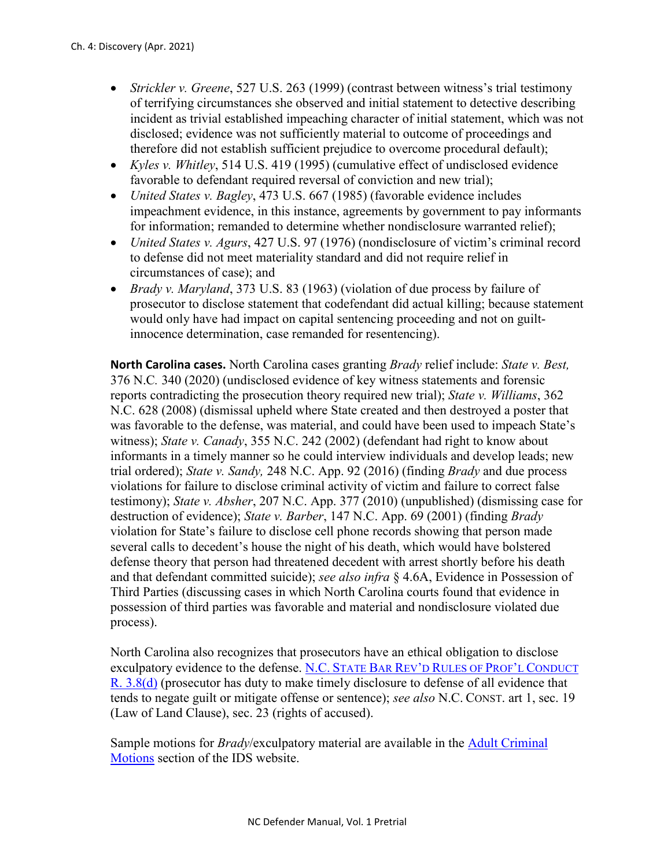- *Strickler v. Greene*, 527 U.S. 263 (1999) (contrast between witness's trial testimony of terrifying circumstances she observed and initial statement to detective describing incident as trivial established impeaching character of initial statement, which was not disclosed; evidence was not sufficiently material to outcome of proceedings and therefore did not establish sufficient prejudice to overcome procedural default);
- *Kyles v. Whitley*, 514 U.S. 419 (1995) (cumulative effect of undisclosed evidence favorable to defendant required reversal of conviction and new trial);
- *United States v. Bagley*, 473 U.S. 667 (1985) (favorable evidence includes impeachment evidence, in this instance, agreements by government to pay informants for information; remanded to determine whether nondisclosure warranted relief);
- *United States v. Agurs*, 427 U.S. 97 (1976) (nondisclosure of victim's criminal record to defense did not meet materiality standard and did not require relief in circumstances of case); and
- *Brady v. Maryland*, 373 U.S. 83 (1963) (violation of due process by failure of prosecutor to disclose statement that codefendant did actual killing; because statement would only have had impact on capital sentencing proceeding and not on guiltinnocence determination, case remanded for resentencing).

**North Carolina cases.** North Carolina cases granting *Brady* relief include: *State v. Best,*  376 N.C*.* 340 (2020) (undisclosed evidence of key witness statements and forensic reports contradicting the prosecution theory required new trial); *State v. Williams*, 362 N.C. 628 (2008) (dismissal upheld where State created and then destroyed a poster that was favorable to the defense, was material, and could have been used to impeach State's witness); *State v. Canady*, 355 N.C. 242 (2002) (defendant had right to know about informants in a timely manner so he could interview individuals and develop leads; new trial ordered); *State v. Sandy,* 248 N.C. App. 92 (2016) (finding *Brady* and due process violations for failure to disclose criminal activity of victim and failure to correct false testimony); *State v. Absher*, 207 N.C. App. 377 (2010) (unpublished) (dismissing case for destruction of evidence); *State v. Barber*, 147 N.C. App. 69 (2001) (finding *Brady*  violation for State's failure to disclose cell phone records showing that person made several calls to decedent's house the night of his death, which would have bolstered defense theory that person had threatened decedent with arrest shortly before his death and that defendant committed suicide); *see also infra* § 4.6A, Evidence in Possession of Third Parties (discussing cases in which North Carolina courts found that evidence in possession of third parties was favorable and material and nondisclosure violated due process).

North Carolina also recognizes that prosecutors have an ethical obligation to disclose exculpatory evidence to the defense. N.C. [STATE BAR REV'D RULES OF PROF'L CONDUCT](https://www.ncbar.gov/for-lawyers/ethics/rules-of-professional-conduct/rule-38-special-responsibilities-of-a-prosecutor/)  [R. 3.8\(d\)](https://www.ncbar.gov/for-lawyers/ethics/rules-of-professional-conduct/rule-38-special-responsibilities-of-a-prosecutor/) (prosecutor has duty to make timely disclosure to defense of all evidence that tends to negate guilt or mitigate offense or sentence); *see also* N.C. CONST. art 1, sec. 19 (Law of Land Clause), sec. 23 (rights of accused).

Sample motions for *Brady*/exculpatory material are available in the [Adult Criminal](https://www.ncids.org/adult-criminal-cases/adult-criminal-motions/)  [Motions](https://www.ncids.org/adult-criminal-cases/adult-criminal-motions/) section of the IDS website.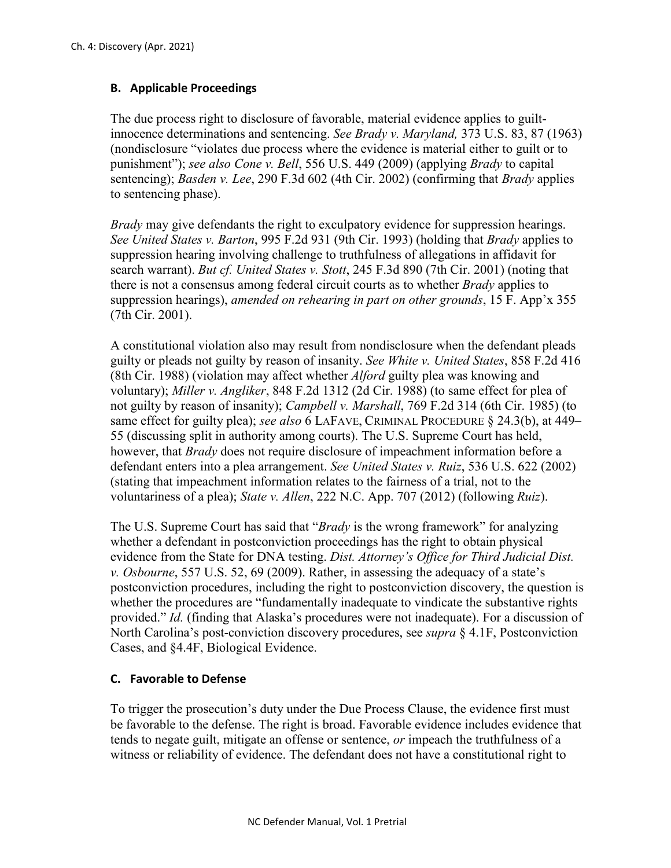# **B. Applicable Proceedings**

The due process right to disclosure of favorable, material evidence applies to guiltinnocence determinations and sentencing. *See Brady v. Maryland,* 373 U.S. 83, 87 (1963) (nondisclosure "violates due process where the evidence is material either to guilt or to punishment"); *see also Cone v. Bell*, 556 U.S. 449 (2009) (applying *Brady* to capital sentencing); *Basden v. Lee*, 290 F.3d 602 (4th Cir. 2002) (confirming that *Brady* applies to sentencing phase).

*Brady* may give defendants the right to exculpatory evidence for suppression hearings. *See United States v. Barton*, 995 F.2d 931 (9th Cir. 1993) (holding that *Brady* applies to suppression hearing involving challenge to truthfulness of allegations in affidavit for search warrant). *But cf. United States v. Stott*, 245 F.3d 890 (7th Cir. 2001) (noting that there is not a consensus among federal circuit courts as to whether *Brady* applies to suppression hearings), *amended on rehearing in part on other grounds*, 15 F. App'x 355 (7th Cir. 2001).

A constitutional violation also may result from nondisclosure when the defendant pleads guilty or pleads not guilty by reason of insanity. *See White v. United States*, 858 F.2d 416 (8th Cir. 1988) (violation may affect whether *Alford* guilty plea was knowing and voluntary); *Miller v. Angliker*, 848 F.2d 1312 (2d Cir. 1988) (to same effect for plea of not guilty by reason of insanity); *Campbell v. Marshall*, 769 F.2d 314 (6th Cir. 1985) (to same effect for guilty plea); *see also* 6 LAFAVE, CRIMINAL PROCEDURE § 24.3(b), at 449– 55 (discussing split in authority among courts). The U.S. Supreme Court has held, however, that *Brady* does not require disclosure of impeachment information before a defendant enters into a plea arrangement. *See United States v. Ruiz*, 536 U.S. 622 (2002) (stating that impeachment information relates to the fairness of a trial, not to the voluntariness of a plea); *State v. Allen*, 222 N.C. App. 707 (2012) (following *Ruiz*).

The U.S. Supreme Court has said that "*Brady* is the wrong framework" for analyzing whether a defendant in postconviction proceedings has the right to obtain physical evidence from the State for DNA testing. *Dist. Attorney's Office for Third Judicial Dist. v. Osbourne*, 557 U.S. 52, 69 (2009). Rather, in assessing the adequacy of a state's postconviction procedures, including the right to postconviction discovery, the question is whether the procedures are "fundamentally inadequate to vindicate the substantive rights provided." *Id.* (finding that Alaska's procedures were not inadequate). For a discussion of North Carolina's post-conviction discovery procedures, see *supra* § 4.1F, Postconviction Cases, and §4.4F, Biological Evidence.

#### **C. Favorable to Defense**

To trigger the prosecution's duty under the Due Process Clause, the evidence first must be favorable to the defense. The right is broad. Favorable evidence includes evidence that tends to negate guilt, mitigate an offense or sentence, *or* impeach the truthfulness of a witness or reliability of evidence. The defendant does not have a constitutional right to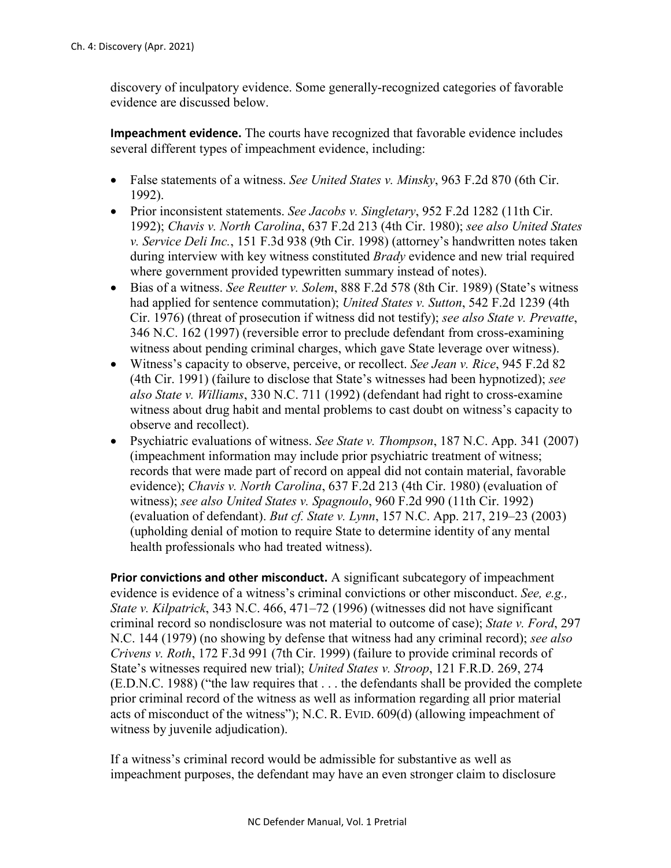discovery of inculpatory evidence. Some generally-recognized categories of favorable evidence are discussed below.

**Impeachment evidence.** The courts have recognized that favorable evidence includes several different types of impeachment evidence, including:

- False statements of a witness. *See United States v. Minsky*, 963 F.2d 870 (6th Cir. 1992).
- Prior inconsistent statements. *See Jacobs v. Singletary*, 952 F.2d 1282 (11th Cir. 1992); *Chavis v. North Carolina*, 637 F.2d 213 (4th Cir. 1980); *see also United States v. Service Deli Inc.*, 151 F.3d 938 (9th Cir. 1998) (attorney's handwritten notes taken during interview with key witness constituted *Brady* evidence and new trial required where government provided typewritten summary instead of notes).
- Bias of a witness. *See Reutter v. Solem*, 888 F.2d 578 (8th Cir. 1989) (State's witness had applied for sentence commutation); *United States v. Sutton*, 542 F.2d 1239 (4th Cir. 1976) (threat of prosecution if witness did not testify); *see also State v. Prevatte*, 346 N.C. 162 (1997) (reversible error to preclude defendant from cross-examining witness about pending criminal charges, which gave State leverage over witness).
- Witness's capacity to observe, perceive, or recollect. *See Jean v. Rice*, 945 F.2d 82 (4th Cir. 1991) (failure to disclose that State's witnesses had been hypnotized); *see also State v. Williams*, 330 N.C. 711 (1992) (defendant had right to cross-examine witness about drug habit and mental problems to cast doubt on witness's capacity to observe and recollect).
- Psychiatric evaluations of witness. *See State v. Thompson*, 187 N.C. App. 341 (2007) (impeachment information may include prior psychiatric treatment of witness; records that were made part of record on appeal did not contain material, favorable evidence); *Chavis v. North Carolina*, 637 F.2d 213 (4th Cir. 1980) (evaluation of witness); *see also United States v. Spagnoulo*, 960 F.2d 990 (11th Cir. 1992) (evaluation of defendant). *But cf. State v. Lynn*, 157 N.C. App. 217, 219–23 (2003) (upholding denial of motion to require State to determine identity of any mental health professionals who had treated witness).

**Prior convictions and other misconduct.** A significant subcategory of impeachment evidence is evidence of a witness's criminal convictions or other misconduct. *See, e.g., State v. Kilpatrick*, 343 N.C. 466, 471–72 (1996) (witnesses did not have significant criminal record so nondisclosure was not material to outcome of case); *State v. Ford*, 297 N.C. 144 (1979) (no showing by defense that witness had any criminal record); *see also Crivens v. Roth*, 172 F.3d 991 (7th Cir. 1999) (failure to provide criminal records of State's witnesses required new trial); *United States v. Stroop*, 121 F.R.D. 269, 274 (E.D.N.C. 1988) ("the law requires that . . . the defendants shall be provided the complete prior criminal record of the witness as well as information regarding all prior material acts of misconduct of the witness"); N.C. R. EVID. 609(d) (allowing impeachment of witness by juvenile adjudication).

If a witness's criminal record would be admissible for substantive as well as impeachment purposes, the defendant may have an even stronger claim to disclosure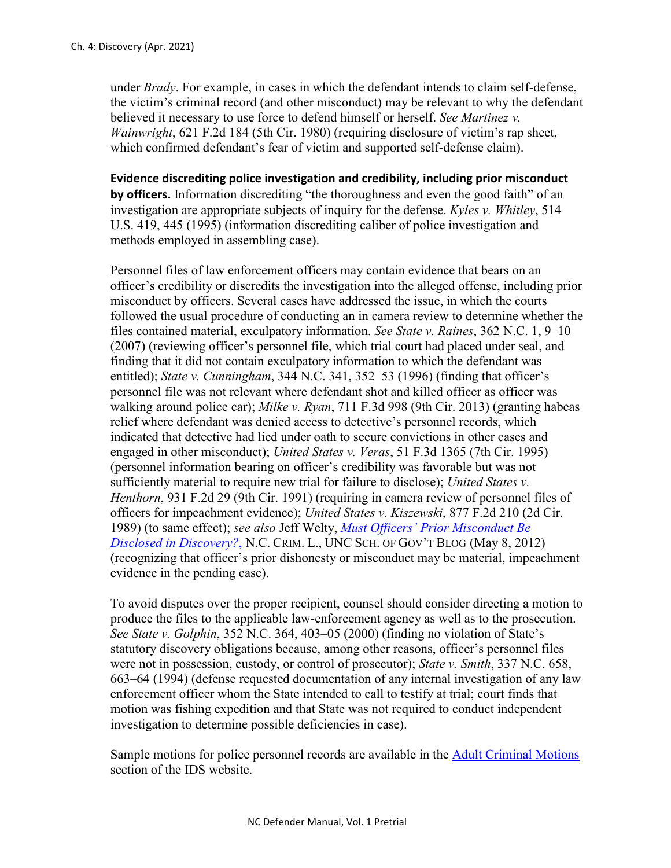under *Brady*. For example, in cases in which the defendant intends to claim self-defense, the victim's criminal record (and other misconduct) may be relevant to why the defendant believed it necessary to use force to defend himself or herself. *See Martinez v. Wainwright*, 621 F.2d 184 (5th Cir. 1980) (requiring disclosure of victim's rap sheet, which confirmed defendant's fear of victim and supported self-defense claim).

**Evidence discrediting police investigation and credibility, including prior misconduct by officers.** Information discrediting "the thoroughness and even the good faith" of an investigation are appropriate subjects of inquiry for the defense. *Kyles v. Whitley*, 514 U.S. 419, 445 (1995) (information discrediting caliber of police investigation and methods employed in assembling case).

Personnel files of law enforcement officers may contain evidence that bears on an officer's credibility or discredits the investigation into the alleged offense, including prior misconduct by officers. Several cases have addressed the issue, in which the courts followed the usual procedure of conducting an in camera review to determine whether the files contained material, exculpatory information. *See State v. Raines*, 362 N.C. 1, 9–10 (2007) (reviewing officer's personnel file, which trial court had placed under seal, and finding that it did not contain exculpatory information to which the defendant was entitled); *State v. Cunningham*, 344 N.C. 341, 352–53 (1996) (finding that officer's personnel file was not relevant where defendant shot and killed officer as officer was walking around police car); *Milke v. Ryan*, 711 F.3d 998 (9th Cir. 2013) (granting habeas relief where defendant was denied access to detective's personnel records, which indicated that detective had lied under oath to secure convictions in other cases and engaged in other misconduct); *United States v. Veras*, 51 F.3d 1365 (7th Cir. 1995) (personnel information bearing on officer's credibility was favorable but was not sufficiently material to require new trial for failure to disclose); *United States v. Henthorn*, 931 F.2d 29 (9th Cir. 1991) (requiring in camera review of personnel files of officers for impeachment evidence); *United States v. Kiszewski*, 877 F.2d 210 (2d Cir. 1989) (to same effect); *see also* Jeff Welty, *[Must Officers' Prior Misconduct Be](http://nccriminallaw.sog.unc.edu/?p=3575)  [Disclosed in Discovery?](http://nccriminallaw.sog.unc.edu/?p=3575)*, N.C. CRIM. L., UNC SCH. OF GOV'T BLOG (May 8, 2012) (recognizing that officer's prior dishonesty or misconduct may be material, impeachment evidence in the pending case).

To avoid disputes over the proper recipient, counsel should consider directing a motion to produce the files to the applicable law-enforcement agency as well as to the prosecution. *See State v. Golphin*, 352 N.C. 364, 403–05 (2000) (finding no violation of State's statutory discovery obligations because, among other reasons, officer's personnel files were not in possession, custody, or control of prosecutor); *State v. Smith*, 337 N.C. 658, 663–64 (1994) (defense requested documentation of any internal investigation of any law enforcement officer whom the State intended to call to testify at trial; court finds that motion was fishing expedition and that State was not required to conduct independent investigation to determine possible deficiencies in case).

Sample motions for police personnel records are available in the [Adult Criminal Motions](https://www.ncids.org/adult-criminal-cases/adult-criminal-motions/) section of the IDS website.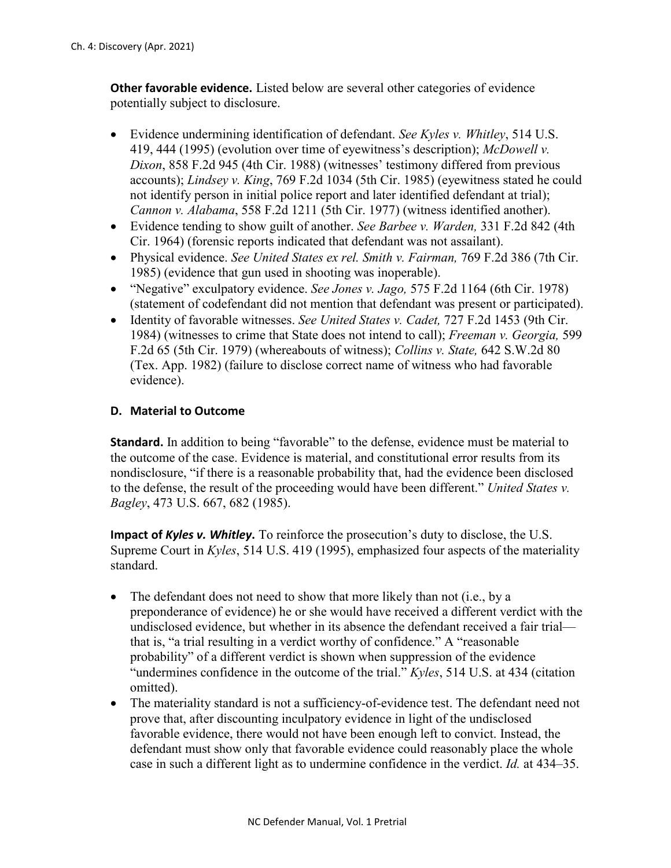**Other favorable evidence.** Listed below are several other categories of evidence potentially subject to disclosure.

- Evidence undermining identification of defendant. *See Kyles v. Whitley*, 514 U.S. 419, 444 (1995) (evolution over time of eyewitness's description); *McDowell v. Dixon*, 858 F.2d 945 (4th Cir. 1988) (witnesses' testimony differed from previous accounts); *Lindsey v. King*, 769 F.2d 1034 (5th Cir. 1985) (eyewitness stated he could not identify person in initial police report and later identified defendant at trial); *Cannon v. Alabama*, 558 F.2d 1211 (5th Cir. 1977) (witness identified another).
- Evidence tending to show guilt of another. *See Barbee v. Warden,* 331 F.2d 842 (4th Cir. 1964) (forensic reports indicated that defendant was not assailant).
- Physical evidence. *See United States ex rel. Smith v. Fairman,* 769 F.2d 386 (7th Cir. 1985) (evidence that gun used in shooting was inoperable).
- "Negative" exculpatory evidence. *See Jones v. Jago,* 575 F.2d 1164 (6th Cir. 1978) (statement of codefendant did not mention that defendant was present or participated).
- Identity of favorable witnesses. *See United States v. Cadet,* 727 F.2d 1453 (9th Cir. 1984) (witnesses to crime that State does not intend to call); *Freeman v. Georgia,* 599 F.2d 65 (5th Cir. 1979) (whereabouts of witness); *Collins v. State,* 642 S.W.2d 80 (Tex. App. 1982) (failure to disclose correct name of witness who had favorable evidence).

### **D. Material to Outcome**

**Standard.** In addition to being "favorable" to the defense, evidence must be material to the outcome of the case. Evidence is material, and constitutional error results from its nondisclosure, "if there is a reasonable probability that, had the evidence been disclosed to the defense, the result of the proceeding would have been different." *United States v. Bagley*, 473 U.S. 667, 682 (1985).

**Impact of** *Kyles v. Whitley***.** To reinforce the prosecution's duty to disclose, the U.S. Supreme Court in *Kyles*, 514 U.S. 419 (1995), emphasized four aspects of the materiality standard.

- The defendant does not need to show that more likely than not (i.e., by a preponderance of evidence) he or she would have received a different verdict with the undisclosed evidence, but whether in its absence the defendant received a fair trial that is, "a trial resulting in a verdict worthy of confidence." A "reasonable probability" of a different verdict is shown when suppression of the evidence "undermines confidence in the outcome of the trial." *Kyles*, 514 U.S. at 434 (citation omitted).
- The materiality standard is not a sufficiency-of-evidence test. The defendant need not prove that, after discounting inculpatory evidence in light of the undisclosed favorable evidence, there would not have been enough left to convict. Instead, the defendant must show only that favorable evidence could reasonably place the whole case in such a different light as to undermine confidence in the verdict. *Id.* at 434–35.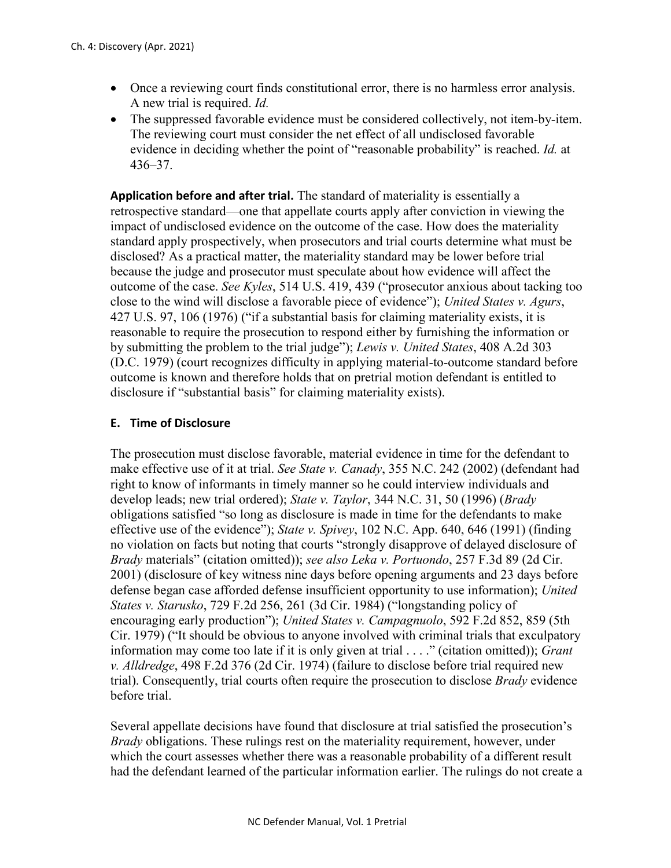- Once a reviewing court finds constitutional error, there is no harmless error analysis. A new trial is required. *Id.*
- The suppressed favorable evidence must be considered collectively, not item-by-item. The reviewing court must consider the net effect of all undisclosed favorable evidence in deciding whether the point of "reasonable probability" is reached. *Id.* at 436–37.

**Application before and after trial.** The standard of materiality is essentially a retrospective standard—one that appellate courts apply after conviction in viewing the impact of undisclosed evidence on the outcome of the case. How does the materiality standard apply prospectively, when prosecutors and trial courts determine what must be disclosed? As a practical matter, the materiality standard may be lower before trial because the judge and prosecutor must speculate about how evidence will affect the outcome of the case. *See Kyles*, 514 U.S. 419, 439 ("prosecutor anxious about tacking too close to the wind will disclose a favorable piece of evidence"); *United States v. Agurs*, 427 U.S. 97, 106 (1976) ("if a substantial basis for claiming materiality exists, it is reasonable to require the prosecution to respond either by furnishing the information or by submitting the problem to the trial judge"); *Lewis v. United States*, 408 A.2d 303 (D.C. 1979) (court recognizes difficulty in applying material-to-outcome standard before outcome is known and therefore holds that on pretrial motion defendant is entitled to disclosure if "substantial basis" for claiming materiality exists).

#### **E. Time of Disclosure**

The prosecution must disclose favorable, material evidence in time for the defendant to make effective use of it at trial. *See State v. Canady*, 355 N.C. 242 (2002) (defendant had right to know of informants in timely manner so he could interview individuals and develop leads; new trial ordered); *State v. Taylor*, 344 N.C. 31, 50 (1996) (*Brady* obligations satisfied "so long as disclosure is made in time for the defendants to make effective use of the evidence"); *State v. Spivey*, 102 N.C. App. 640, 646 (1991) (finding no violation on facts but noting that courts "strongly disapprove of delayed disclosure of *Brady* materials" (citation omitted)); *see also Leka v. Portuondo*, 257 F.3d 89 (2d Cir. 2001) (disclosure of key witness nine days before opening arguments and 23 days before defense began case afforded defense insufficient opportunity to use information); *United States v. Starusko*, 729 F.2d 256, 261 (3d Cir. 1984) ("longstanding policy of encouraging early production"); *United States v. Campagnuolo*, 592 F.2d 852, 859 (5th Cir. 1979) ("It should be obvious to anyone involved with criminal trials that exculpatory information may come too late if it is only given at trial . . . ." (citation omitted)); *Grant v. Alldredge*, 498 F.2d 376 (2d Cir. 1974) (failure to disclose before trial required new trial). Consequently, trial courts often require the prosecution to disclose *Brady* evidence before trial.

Several appellate decisions have found that disclosure at trial satisfied the prosecution's *Brady* obligations. These rulings rest on the materiality requirement, however, under which the court assesses whether there was a reasonable probability of a different result had the defendant learned of the particular information earlier. The rulings do not create a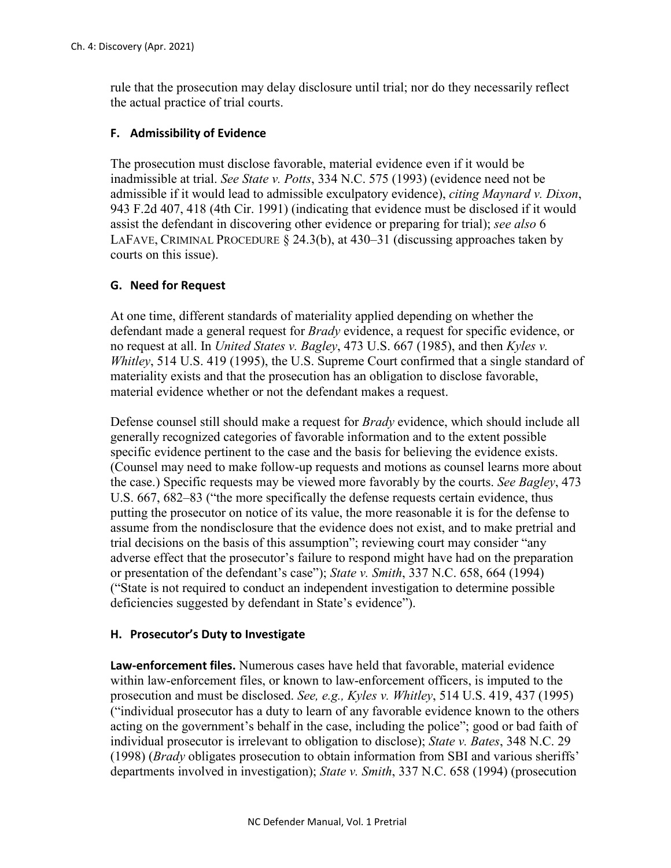rule that the prosecution may delay disclosure until trial; nor do they necessarily reflect the actual practice of trial courts.

## **F. Admissibility of Evidence**

The prosecution must disclose favorable, material evidence even if it would be inadmissible at trial. *See State v. Potts*, 334 N.C. 575 (1993) (evidence need not be admissible if it would lead to admissible exculpatory evidence), *citing Maynard v. Dixon*, 943 F.2d 407, 418 (4th Cir. 1991) (indicating that evidence must be disclosed if it would assist the defendant in discovering other evidence or preparing for trial); *see also* 6 LAFAVE, CRIMINAL PROCEDURE § 24.3(b), at 430–31 (discussing approaches taken by courts on this issue).

# **G. Need for Request**

At one time, different standards of materiality applied depending on whether the defendant made a general request for *Brady* evidence, a request for specific evidence, or no request at all. In *United States v. Bagley*, 473 U.S. 667 (1985), and then *Kyles v. Whitley*, 514 U.S. 419 (1995), the U.S. Supreme Court confirmed that a single standard of materiality exists and that the prosecution has an obligation to disclose favorable, material evidence whether or not the defendant makes a request.

Defense counsel still should make a request for *Brady* evidence, which should include all generally recognized categories of favorable information and to the extent possible specific evidence pertinent to the case and the basis for believing the evidence exists. (Counsel may need to make follow-up requests and motions as counsel learns more about the case.) Specific requests may be viewed more favorably by the courts. *See Bagley*, 473 U.S. 667, 682–83 ("the more specifically the defense requests certain evidence, thus putting the prosecutor on notice of its value, the more reasonable it is for the defense to assume from the nondisclosure that the evidence does not exist, and to make pretrial and trial decisions on the basis of this assumption"; reviewing court may consider "any adverse effect that the prosecutor's failure to respond might have had on the preparation or presentation of the defendant's case"); *State v. Smith*, 337 N.C. 658, 664 (1994) ("State is not required to conduct an independent investigation to determine possible deficiencies suggested by defendant in State's evidence").

#### **H. Prosecutor's Duty to Investigate**

**Law-enforcement files.** Numerous cases have held that favorable, material evidence within law-enforcement files, or known to law-enforcement officers, is imputed to the prosecution and must be disclosed. *See, e.g., Kyles v. Whitley*, 514 U.S. 419, 437 (1995) ("individual prosecutor has a duty to learn of any favorable evidence known to the others acting on the government's behalf in the case, including the police"; good or bad faith of individual prosecutor is irrelevant to obligation to disclose); *State v. Bates*, 348 N.C. 29 (1998) (*Brady* obligates prosecution to obtain information from SBI and various sheriffs' departments involved in investigation); *State v. Smith*, 337 N.C. 658 (1994) (prosecution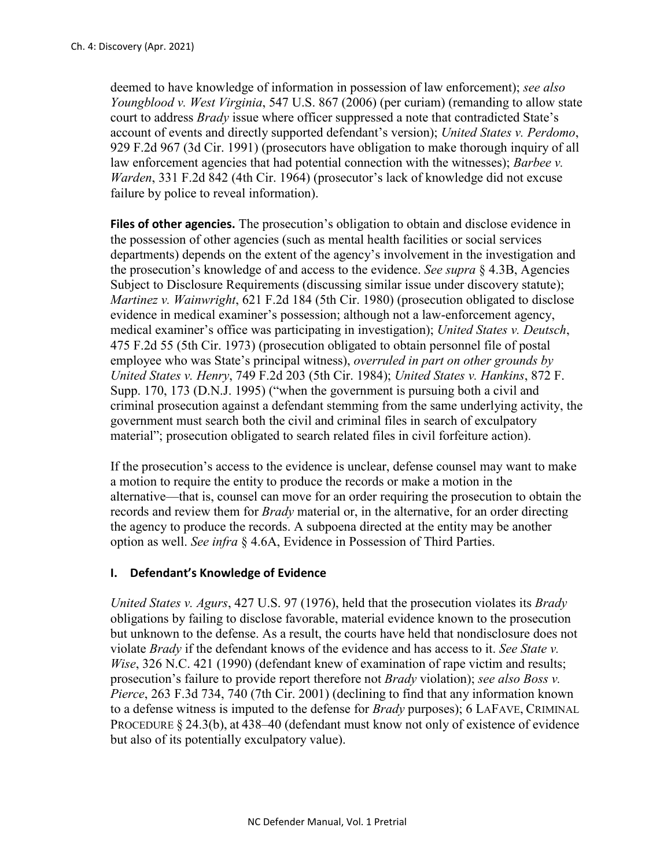deemed to have knowledge of information in possession of law enforcement); *see also Youngblood v. West Virginia*, 547 U.S. 867 (2006) (per curiam) (remanding to allow state court to address *Brady* issue where officer suppressed a note that contradicted State's account of events and directly supported defendant's version); *United States v. Perdomo*, 929 F.2d 967 (3d Cir. 1991) (prosecutors have obligation to make thorough inquiry of all law enforcement agencies that had potential connection with the witnesses); *Barbee v. Warden*, 331 F.2d 842 (4th Cir. 1964) (prosecutor's lack of knowledge did not excuse failure by police to reveal information).

**Files of other agencies.** The prosecution's obligation to obtain and disclose evidence in the possession of other agencies (such as mental health facilities or social services departments) depends on the extent of the agency's involvement in the investigation and the prosecution's knowledge of and access to the evidence. *See supra* § 4.3B, Agencies Subject to Disclosure Requirements (discussing similar issue under discovery statute); *Martinez v. Wainwright*, 621 F.2d 184 (5th Cir. 1980) (prosecution obligated to disclose evidence in medical examiner's possession; although not a law-enforcement agency, medical examiner's office was participating in investigation); *United States v. Deutsch*, 475 F.2d 55 (5th Cir. 1973) (prosecution obligated to obtain personnel file of postal employee who was State's principal witness), *overruled in part on other grounds by United States v. Henry*, 749 F.2d 203 (5th Cir. 1984); *United States v. Hankins*, 872 F. Supp. 170, 173 (D.N.J. 1995) ("when the government is pursuing both a civil and criminal prosecution against a defendant stemming from the same underlying activity, the government must search both the civil and criminal files in search of exculpatory material"; prosecution obligated to search related files in civil forfeiture action).

If the prosecution's access to the evidence is unclear, defense counsel may want to make a motion to require the entity to produce the records or make a motion in the alternative—that is, counsel can move for an order requiring the prosecution to obtain the records and review them for *Brady* material or, in the alternative, for an order directing the agency to produce the records. A subpoena directed at the entity may be another option as well. *See infra* § 4.6A, Evidence in Possession of Third Parties.

#### **I. Defendant's Knowledge of Evidence**

*United States v. Agurs*, 427 U.S. 97 (1976), held that the prosecution violates its *Brady*  obligations by failing to disclose favorable, material evidence known to the prosecution but unknown to the defense. As a result, the courts have held that nondisclosure does not violate *Brady* if the defendant knows of the evidence and has access to it. *See State v. Wise*, 326 N.C. 421 (1990) (defendant knew of examination of rape victim and results; prosecution's failure to provide report therefore not *Brady* violation); *see also Boss v. Pierce*, 263 F.3d 734, 740 (7th Cir. 2001) (declining to find that any information known to a defense witness is imputed to the defense for *Brady* purposes); 6 LAFAVE, CRIMINAL PROCEDURE § 24.3(b), at 438–40 (defendant must know not only of existence of evidence but also of its potentially exculpatory value).